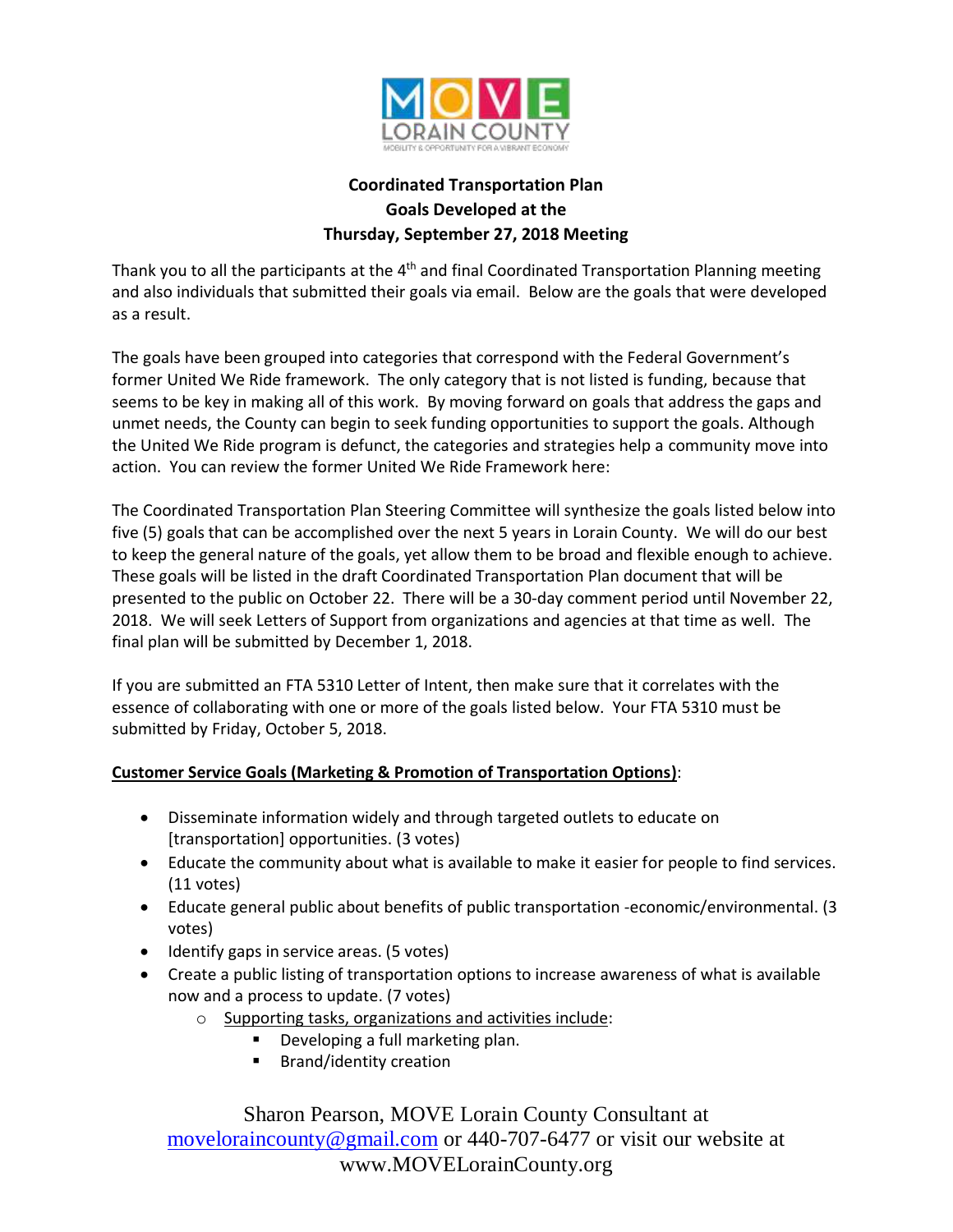

# **Coordinated Transportation Plan Goals Developed at the Thursday, September 27, 2018 Meeting**

Thank you to all the participants at the 4<sup>th</sup> and final Coordinated Transportation Planning meeting and also individuals that submitted their goals via email. Below are the goals that were developed as a result.

The goals have been grouped into categories that correspond with the Federal Government's former United We Ride framework. The only category that is not listed is funding, because that seems to be key in making all of this work. By moving forward on goals that address the gaps and unmet needs, the County can begin to seek funding opportunities to support the goals. Although the United We Ride program is defunct, the categories and strategies help a community move into action. You can review the former United We Ride Framework here:

The Coordinated Transportation Plan Steering Committee will synthesize the goals listed below into five (5) goals that can be accomplished over the next 5 years in Lorain County. We will do our best to keep the general nature of the goals, yet allow them to be broad and flexible enough to achieve. These goals will be listed in the draft Coordinated Transportation Plan document that will be presented to the public on October 22. There will be a 30-day comment period until November 22, 2018. We will seek Letters of Support from organizations and agencies at that time as well. The final plan will be submitted by December 1, 2018.

If you are submitted an FTA 5310 Letter of Intent, then make sure that it correlates with the essence of collaborating with one or more of the goals listed below. Your FTA 5310 must be submitted by Friday, October 5, 2018.

### **Customer Service Goals (Marketing & Promotion of Transportation Options)**:

- Disseminate information widely and through targeted outlets to educate on [transportation] opportunities. (3 votes)
- Educate the community about what is available to make it easier for people to find services. (11 votes)
- Educate general public about benefits of public transportation -economic/environmental. (3 votes)
- Identify gaps in service areas. (5 votes)
- Create a public listing of transportation options to increase awareness of what is available now and a process to update. (7 votes)
	- o Supporting tasks, organizations and activities include:
		- Developing a full marketing plan.
		- Brand/identity creation

Sharon Pearson, MOVE Lorain County Consultant at [moveloraincounty@gmail.com](mailto:moveloraincounty@gmail.com) or 440-707-6477 or visit our website at www.MOVELorainCounty.org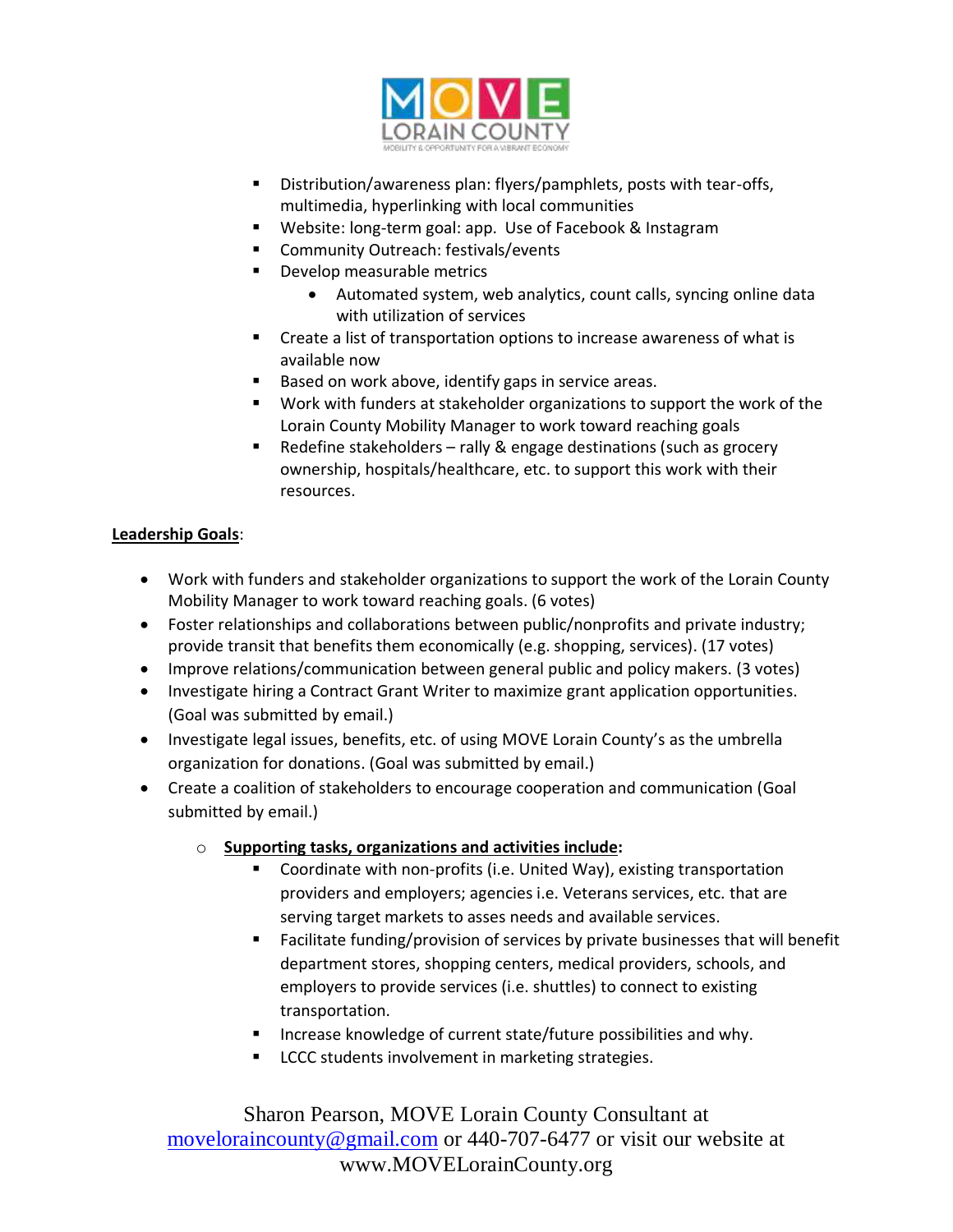

- Distribution/awareness plan: flyers/pamphlets, posts with tear-offs, multimedia, hyperlinking with local communities
- Website: long-term goal: app. Use of Facebook & Instagram
- Community Outreach: festivals/events
- Develop measurable metrics
	- Automated system, web analytics, count calls, syncing online data with utilization of services
- Create a list of transportation options to increase awareness of what is available now
- Based on work above, identify gaps in service areas.
- Work with funders at stakeholder organizations to support the work of the Lorain County Mobility Manager to work toward reaching goals
- Redefine stakeholders rally & engage destinations (such as grocery ownership, hospitals/healthcare, etc. to support this work with their resources.

# **Leadership Goals**:

- Work with funders and stakeholder organizations to support the work of the Lorain County Mobility Manager to work toward reaching goals. (6 votes)
- Foster relationships and collaborations between public/nonprofits and private industry; provide transit that benefits them economically (e.g. shopping, services). (17 votes)
- Improve relations/communication between general public and policy makers. (3 votes)
- Investigate hiring a Contract Grant Writer to maximize grant application opportunities. (Goal was submitted by email.)
- Investigate legal issues, benefits, etc. of using MOVE Lorain County's as the umbrella organization for donations. (Goal was submitted by email.)
- Create a coalition of stakeholders to encourage cooperation and communication (Goal submitted by email.)
	- o **Supporting tasks, organizations and activities include:**
		- Coordinate with non-profits (i.e. United Way), existing transportation providers and employers; agencies i.e. Veterans services, etc. that are serving target markets to asses needs and available services.
		- Facilitate funding/provision of services by private businesses that will benefit department stores, shopping centers, medical providers, schools, and employers to provide services (i.e. shuttles) to connect to existing transportation.
		- Increase knowledge of current state/future possibilities and why.
		- LCCC students involvement in marketing strategies.

Sharon Pearson, MOVE Lorain County Consultant at [moveloraincounty@gmail.com](mailto:moveloraincounty@gmail.com) or 440-707-6477 or visit our website at www.MOVELorainCounty.org